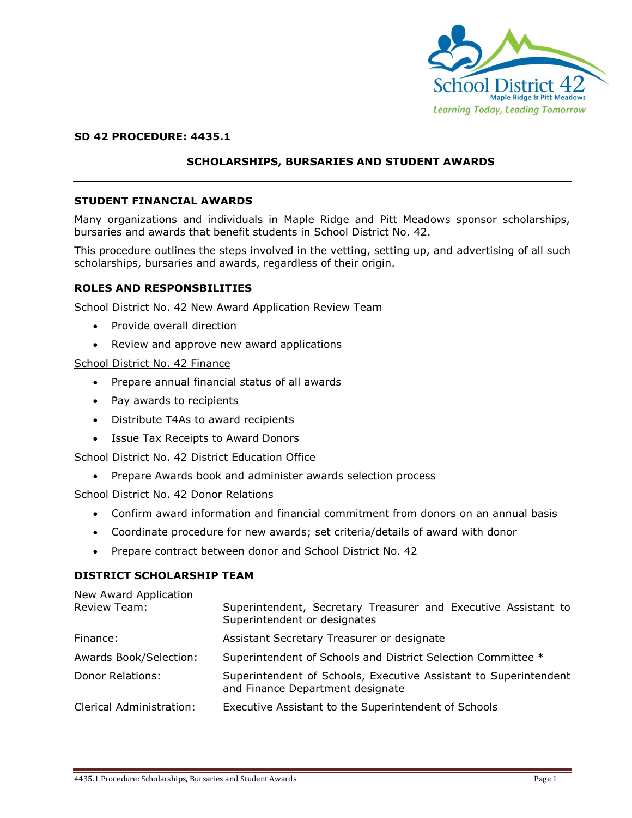

# **SD 42 PROCEDURE: 4435.1**

# **SCHOLARSHIPS, BURSARIES AND STUDENT AWARDS**

#### **STUDENT FINANCIAL AWARDS**

Many organizations and individuals in Maple Ridge and Pitt Meadows sponsor scholarships, bursaries and awards that benefit students in School District No. 42.

This procedure outlines the steps involved in the vetting, setting up, and advertising of all such scholarships, bursaries and awards, regardless of their origin.

#### **ROLES AND RESPONSBILITIES**

School District No. 42 New Award Application Review Team

- Provide overall direction
- Review and approve new award applications

#### School District No. 42 Finance

- Prepare annual financial status of all awards
- Pay awards to recipients
- Distribute T4As to award recipients
- Issue Tax Receipts to Award Donors

#### School District No. 42 District Education Office

Prepare Awards book and administer awards selection process

School District No. 42 Donor Relations

- Confirm award information and financial commitment from donors on an annual basis
- Coordinate procedure for new awards; set criteria/details of award with donor
- Prepare contract between donor and School District No. 42

#### **DISTRICT SCHOLARSHIP TEAM**

New Award Application

| Review Team:                    | Superintendent, Secretary Treasurer and Executive Assistant to<br>Superintendent or designates       |
|---------------------------------|------------------------------------------------------------------------------------------------------|
| Finance:                        | Assistant Secretary Treasurer or designate                                                           |
| Awards Book/Selection:          | Superintendent of Schools and District Selection Committee *                                         |
| Donor Relations:                | Superintendent of Schools, Executive Assistant to Superintendent<br>and Finance Department designate |
| <b>Clerical Administration:</b> | Executive Assistant to the Superintendent of Schools                                                 |